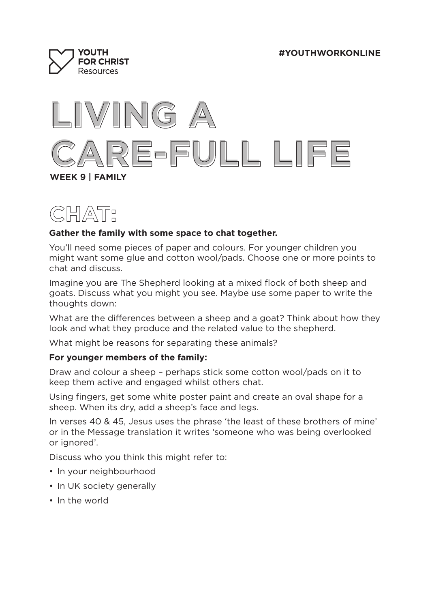



# **CHAT:**

## **Gather the family with some space to chat together.**

You'll need some pieces of paper and colours. For younger children you might want some glue and cotton wool/pads. Choose one or more points to chat and discuss.

Imagine you are The Shepherd looking at a mixed flock of both sheep and goats. Discuss what you might you see. Maybe use some paper to write the thoughts down:

What are the differences between a sheep and a goat? Think about how they look and what they produce and the related value to the shepherd.

What might be reasons for separating these animals?

### **For younger members of the family:**

Draw and colour a sheep – perhaps stick some cotton wool/pads on it to keep them active and engaged whilst others chat.

Using fingers, get some white poster paint and create an oval shape for a sheep. When its dry, add a sheep's face and legs.

In verses 40 & 45, Jesus uses the phrase 'the least of these brothers of mine' or in the Message translation it writes 'someone who was being overlooked or ignored'.

Discuss who you think this might refer to:

- In your neighbourhood
- In UK society generally
- In the world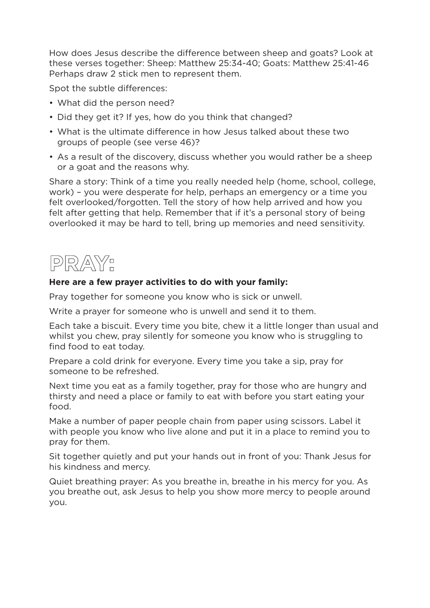How does Jesus describe the difference between sheep and goats? Look at these verses together: Sheep: Matthew 25:34-40; Goats: Matthew 25:41-46 Perhaps draw 2 stick men to represent them.

Spot the subtle differences:

- What did the person need?
- Did they get it? If yes, how do you think that changed?
- What is the ultimate difference in how Jesus talked about these two groups of people (see verse 46)?
- As a result of the discovery, discuss whether you would rather be a sheep or a goat and the reasons why.

Share a story: Think of a time you really needed help (home, school, college, work) – you were desperate for help, perhaps an emergency or a time you felt overlooked/forgotten. Tell the story of how help arrived and how you felt after getting that help. Remember that if it's a personal story of being overlooked it may be hard to tell, bring up memories and need sensitivity.



## **Here are a few prayer activities to do with your family:**

Pray together for someone you know who is sick or unwell.

Write a prayer for someone who is unwell and send it to them.

Each take a biscuit. Every time you bite, chew it a little longer than usual and whilst you chew, pray silently for someone you know who is struggling to find food to eat today.

Prepare a cold drink for everyone. Every time you take a sip, pray for someone to be refreshed.

Next time you eat as a family together, pray for those who are hungry and thirsty and need a place or family to eat with before you start eating your food.

Make a number of paper people chain from paper using scissors. Label it with people you know who live alone and put it in a place to remind you to pray for them.

Sit together quietly and put your hands out in front of you: Thank Jesus for his kindness and mercy.

Quiet breathing prayer: As you breathe in, breathe in his mercy for you. As you breathe out, ask Jesus to help you show more mercy to people around you.